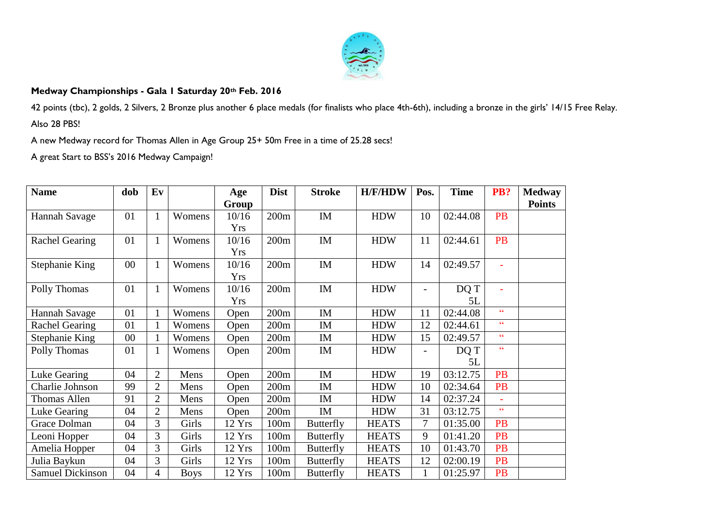

## **Medway Championships - Gala 1 Saturday 20th Feb. 2016**

42 points (tbc), 2 golds, 2 Silvers, 2 Bronze plus another 6 place medals (for finalists who place 4th-6th), including a bronze in the girls' 14/15 Free Relay. Also 28 PBS!

A new Medway record for Thomas Allen in Age Group 25+ 50m Free in a time of 25.28 secs!

A great Start to BSS's 2016 Medway Campaign!

| <b>Name</b>             | dob | Ev                       |             | Age        | <b>Dist</b>      | <b>Stroke</b>    | H/F/HDW      | Pos. | <b>Time</b> | PB?                      | <b>Medway</b> |
|-------------------------|-----|--------------------------|-------------|------------|------------------|------------------|--------------|------|-------------|--------------------------|---------------|
|                         |     |                          |             | Group      |                  |                  |              |      |             |                          | <b>Points</b> |
| Hannah Savage           | 01  | 1                        | Womens      | 10/16      | 200m             | IM               | <b>HDW</b>   | 10   | 02:44.08    | <b>PB</b>                |               |
|                         |     |                          |             | <b>Yrs</b> |                  |                  |              |      |             |                          |               |
| <b>Rachel Gearing</b>   | 01  | 1                        | Womens      | 10/16      | 200m             | IM               | <b>HDW</b>   | 11   | 02:44.61    | <b>PB</b>                |               |
|                         |     |                          |             | <b>Yrs</b> |                  |                  |              |      |             |                          |               |
| <b>Stephanie King</b>   | 00  | 1                        | Womens      | 10/16      | 200m             | IM               | <b>HDW</b>   | 14   | 02:49.57    | $\bar{\phantom{a}}$      |               |
|                         |     |                          |             | <b>Yrs</b> |                  |                  |              |      |             |                          |               |
| Polly Thomas            | 01  | $\mathbf{1}$             | Womens      | 10/16      | 200m             | IM               | <b>HDW</b>   |      | DQ T        |                          |               |
|                         |     |                          |             | <b>Yrs</b> |                  |                  |              |      | 5L          |                          |               |
| Hannah Savage           | 01  | 1                        | Womens      | Open       | 200m             | IM               | <b>HDW</b>   | 11   | 02:44.08    | $\epsilon$               |               |
| <b>Rachel Gearing</b>   | 01  | $\mathbf{1}$             | Womens      | Open       | 200m             | IM               | <b>HDW</b>   | 12   | 02:44.61    | $\epsilon$               |               |
| Stephanie King          | 00  | 1                        | Womens      | Open       | 200m             | IM               | <b>HDW</b>   | 15   | 02:49.57    | $\epsilon$               |               |
| Polly Thomas            | 01  | 1                        | Womens      | Open       | 200m             | IM               | <b>HDW</b>   |      | DQ T        | $\epsilon$               |               |
|                         |     |                          |             |            |                  |                  |              |      | 5L          |                          |               |
| Luke Gearing            | 04  | $\overline{2}$           | Mens        | Open       | 200m             | IM               | <b>HDW</b>   | 19   | 03:12.75    | <b>PB</b>                |               |
| Charlie Johnson         | 99  | $\overline{2}$           | Mens        | Open       | 200m             | IM               | <b>HDW</b>   | 10   | 02:34.64    | <b>PB</b>                |               |
| Thomas Allen            | 91  | $\overline{2}$           | Mens        | Open       | 200m             | IM               | <b>HDW</b>   | 14   | 02:37.24    | $\overline{\phantom{a}}$ |               |
| Luke Gearing            | 04  | $\overline{2}$           | Mens        | Open       | 200m             | IM               | <b>HDW</b>   | 31   | 03:12.75    | $\overline{c}$           |               |
| Grace Dolman            | 04  | $\mathfrak{Z}$           | Girls       | 12 Yrs     | 100 <sub>m</sub> | <b>Butterfly</b> | <b>HEATS</b> | 7    | 01:35.00    | PB                       |               |
| Leoni Hopper            | 04  | 3                        | Girls       | 12 Yrs     | 100m             | <b>Butterfly</b> | <b>HEATS</b> | 9    | 01:41.20    | <b>PB</b>                |               |
| Amelia Hopper           | 04  | 3                        | Girls       | 12 Yrs     | 100m             | <b>Butterfly</b> | <b>HEATS</b> | 10   | 01:43.70    | <b>PB</b>                |               |
| Julia Baykun            | 04  | 3                        | Girls       | 12 Yrs     | 100m             | <b>Butterfly</b> | <b>HEATS</b> | 12   | 02:00.19    | <b>PB</b>                |               |
| <b>Samuel Dickinson</b> | 04  | $\overline{\mathcal{A}}$ | <b>Boys</b> | 12 Yrs     | 100 <sub>m</sub> | Butterfly        | <b>HEATS</b> |      | 01:25.97    | <b>PB</b>                |               |